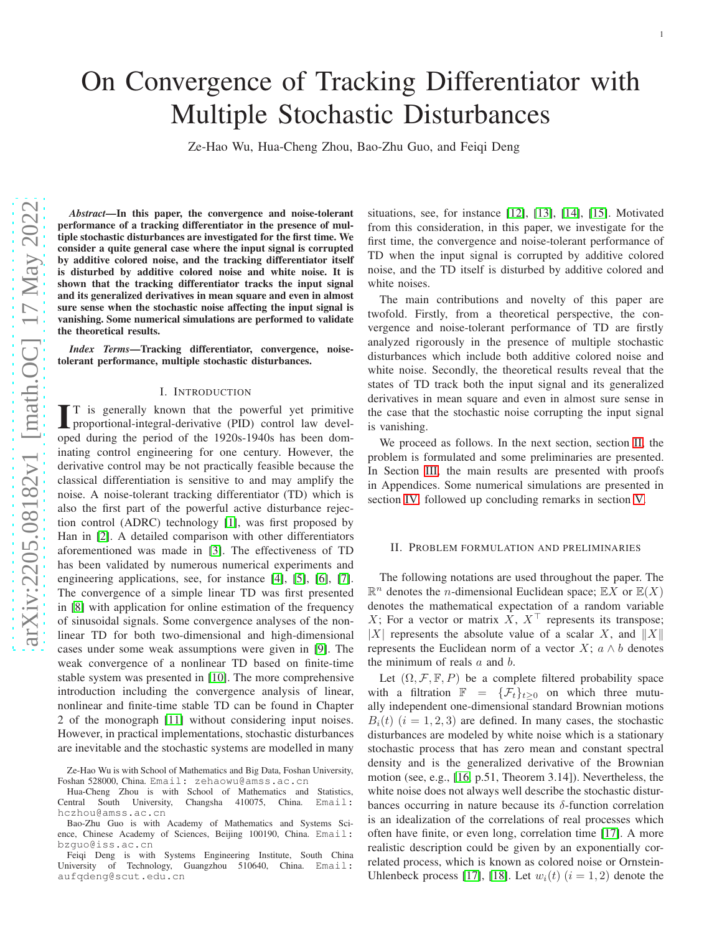# On Convergence of Tracking Differentiator with Multiple Stochastic Disturbances

Ze-Hao Wu, Hua-Cheng Zhou, Bao-Zhu Guo, and Feiqi Deng

*Abstract*—In this paper, the convergence and noise-tolerant performance of a tracking differentiator in the presence of multiple stochastic disturbances are investigated for the first time. We consider a quite general case where the input signal is corrupted by additive colored noise, and the tracking differentiator itself is disturbed by additive colored noise and white noise. It is shown that the tracking differentiator tracks the input signal and its generalized derivatives in mean square and even in almost sure sense when the stochastic noise affecting the input signal is vanishing. Some numerical simulations are performed to validate the theoretical results.

*Index Terms*—Tracking differentiator, convergence, noisetolerant performance, multiple stochastic disturbances.

#### I. INTRODUCTION

I T is generally known that the powerful yet primitive proportional-integral-derivative (PID) control law devel-<br>oped during the period of the 1920s-1940s has been dom-T is generally known that the powerful yet primitive proportional-integral-derivative (PID) control law develinating control engineering for one century. However, the derivative control may be not practically feasible because the classical differentiation is sensitive to and may amplify the noise. A noise-tolerant tracking differentiator (TD) which is also the first part of the powerful active disturbance rejection control (ADRC) technology [\[1\]](#page-7-0), was first proposed by Han in [\[2\]](#page-7-1). A detailed comparison with other differentiators aforementioned was made in [\[3\]](#page-7-2). The effectiveness of TD has been validated by numerous numerical experiments and engineering applications, see, for instance [\[4\]](#page-7-3), [\[5\]](#page-7-4), [\[6\]](#page-7-5), [\[7\]](#page-7-6). The convergence of a simple linear TD was first presented in [\[8\]](#page-7-7) with application for online estimation of the frequency of sinusoidal signals. Some convergence analyses of the nonlinear TD for both two-dimensional and high-dimensional cases under some weak assumptions were given in [\[9\]](#page-7-8). The weak convergence of a nonlinear TD based on finite-time stable system was presented in [\[10\]](#page-7-9). The more comprehensive introduction including the convergence analysis of linear, nonlinear and finite-time stable TD can be found in Chapter 2 of the monograph [\[11\]](#page-7-10) without considering input noises. However, in practical implementations, stochastic disturbances are inevitable and the stochastic systems are modelled in many situations, see, for instance [\[12\]](#page-7-11), [\[13\]](#page-7-12), [\[14\]](#page-7-13), [\[15\]](#page-7-14). Motivated from this consideration, in this paper, we investigate for the first time, the convergence and noise-tolerant performance of TD when the input signal is corrupted by additive colored noise, and the TD itself is disturbed by additive colored and white noises.

The main contributions and novelty of this paper are twofold. Firstly, from a theoretical perspective, the convergence and noise-tolerant performance of TD are firstly analyzed rigorously in the presence of multiple stochastic disturbances which include both additive colored noise and white noise. Secondly, the theoretical results reveal that the states of TD track both the input signal and its generalized derivatives in mean square and even in almost sure sense in the case that the stochastic noise corrupting the input signal is vanishing.

We proceed as follows. In the next section, section [II,](#page-0-0) the problem is formulated and some preliminaries are presented. In Section [III,](#page-1-0) the main results are presented with proofs in Appendices. Some numerical simulations are presented in section [IV,](#page-3-0) followed up concluding remarks in section [V.](#page-3-1)

#### <span id="page-0-0"></span>II. PROBLEM FORMULATION AND PRELIMINARIES

The following notations are used throughout the paper. The  $\mathbb{R}^n$  denotes the *n*-dimensional Euclidean space;  $\mathbb{E}X$  or  $\mathbb{E}(X)$ denotes the mathematical expectation of a random variable X; For a vector or matrix X,  $X^{\top}$  represents its transpose; |X| represents the absolute value of a scalar X, and  $||X||$ represents the Euclidean norm of a vector  $X$ ;  $a \wedge b$  denotes the minimum of reals  $a$  and  $b$ .

Let  $(\Omega, \mathcal{F}, \mathbb{F}, P)$  be a complete filtered probability space with a filtration  $\mathbb{F} = {\mathcal{F}_t}_{t\geq 0}$  on which three mutually independent one-dimensional standard Brownian motions  $B_i(t)$  ( $i = 1, 2, 3$ ) are defined. In many cases, the stochastic disturbances are modeled by white noise which is a stationary stochastic process that has zero mean and constant spectral density and is the generalized derivative of the Brownian motion (see, e.g., [\[16,](#page-7-15) p.51, Theorem 3.14]). Nevertheless, the white noise does not always well describe the stochastic disturbances occurring in nature because its  $\delta$ -function correlation is an idealization of the correlations of real processes which often have finite, or even long, correlation time [\[17\]](#page-7-16). A more realistic description could be given by an exponentially correlated process, which is known as colored noise or Ornstein-Uhlenbeck process [\[17\]](#page-7-16), [\[18\]](#page-7-17). Let  $w_i(t)$   $(i = 1, 2)$  denote the

Ze-Hao Wu is with School of Mathematics and Big Data, Foshan University, Foshan 528000, China. Email: zehaowu@amss.ac.cn

Hua-Cheng Zhou is with School of Mathematics and Statistics, Central South University, Changsha 410075, China. Email: hczhou@amss.ac.cn

Bao-Zhu Guo is with Academy of Mathematics and Systems Science, Chinese Academy of Sciences, Beijing 100190, China. Email: bzguo@iss.ac.cn

Feiqi Deng is with Systems Engineering Institute, South China University of Technology, Guangzhou 510640, China. Email: aufqdeng@scut.edu.cn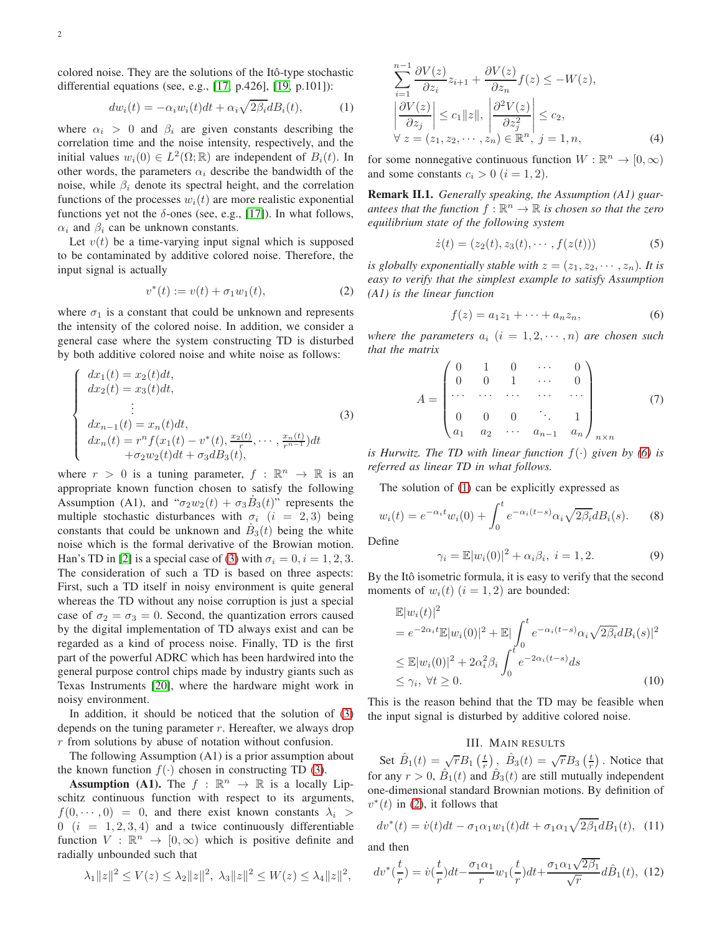colored noise. They are the solutions of the Itô-type stochastic differential equations (see, e.g., [\[17,](#page-7-16) p.426], [\[19,](#page-7-18) p.101]):

<span id="page-1-3"></span>
$$
dw_i(t) = -\alpha_i w_i(t)dt + \alpha_i \sqrt{2\beta_i} dB_i(t), \qquad (1)
$$

where  $\alpha_i > 0$  and  $\beta_i$  are given constants describing the correlation time and the noise intensity, respectively, and the initial values  $w_i(0) \in L^2(\Omega; \mathbb{R})$  are independent of  $B_i(t)$ . In other words, the parameters  $\alpha_i$  describe the bandwidth of the noise, while  $\beta_i$  denote its spectral height, and the correlation functions of the processes  $w_i(t)$  are more realistic exponential functions yet not the  $\delta$ -ones (see, e.g., [\[17\]](#page-7-16)). In what follows,  $\alpha_i$  and  $\beta_i$  can be unknown constants.

Let  $v(t)$  be a time-varying input signal which is supposed to be contaminated by additive colored noise. Therefore, the input signal is actually

<span id="page-1-4"></span>
$$
v^*(t) := v(t) + \sigma_1 w_1(t), \tag{2}
$$

where  $\sigma_1$  is a constant that could be unknown and represents the intensity of the colored noise. In addition, we consider a general case where the system constructing TD is disturbed by both additive colored noise and white noise as follows:

<span id="page-1-1"></span>
$$
\begin{cases}\n dx_1(t) = x_2(t)dt, \\
 dx_2(t) = x_3(t)dt, \\
 \vdots \\
 dx_{n-1}(t) = x_n(t)dt, \\
 dx_n(t) = r^n f(x_1(t) - v^*(t), \frac{x_2(t)}{r}, \dots, \frac{x_n(t)}{r^{n-1}})dt \\
 + \sigma_2 w_2(t)dt + \sigma_3 dB_3(t),\n\end{cases}
$$
\n(3)

where  $r > 0$  is a tuning parameter,  $f : \mathbb{R}^n \to \mathbb{R}$  is an appropriate known function chosen to satisfy the following Assumption (A1), and " $\sigma_2 w_2(t) + \sigma_3 \dot{B}_3(t)$ " represents the multiple stochastic disturbances with  $\sigma_i$  (i = 2,3) being constants that could be unknown and  $\dot{B}_3(t)$  being the white noise which is the formal derivative of the Browian motion. Han's TD in [\[2\]](#page-7-1) is a special case of [\(3\)](#page-1-1) with  $\sigma_i = 0, i = 1, 2, 3$ . The consideration of such a TD is based on three aspects: First, such a TD itself in noisy environment is quite general whereas the TD without any noise corruption is just a special case of  $\sigma_2 = \sigma_3 = 0$ . Second, the quantization errors caused by the digital implementation of TD always exist and can be regarded as a kind of process noise. Finally, TD is the first part of the powerful ADRC which has been hardwired into the general purpose control chips made by industry giants such as Texas Instruments [\[20\]](#page-7-19), where the hardware might work in noisy environment.

In addition, it should be noticed that the solution of [\(3\)](#page-1-1) depends on the tuning parameter  $r$ . Hereafter, we always drop r from solutions by abuse of notation without confusion.

The following Assumption (A1) is a prior assumption about the known function  $f(\cdot)$  chosen in constructing TD [\(3\)](#page-1-1).

**Assumption (A1).** The  $f : \mathbb{R}^n \to \mathbb{R}$  is a locally Lipschitz continuous function with respect to its arguments,  $f(0, \dots, 0) = 0$ , and there exist known constants  $\lambda_i >$  $0$   $(i = 1, 2, 3, 4)$  and a twice continuously differentiable function  $V : \mathbb{R}^n \to [0, \infty)$  which is positive definite and radially unbounded such that

$$
\lambda_1 ||z||^2 \le V(z) \le \lambda_2 ||z||^2, \ \lambda_3 ||z||^2 \le W(z) \le \lambda_4 ||z||^2,
$$

$$
\sum_{i=1}^{n-1} \frac{\partial V(z)}{\partial z_i} z_{i+1} + \frac{\partial V(z)}{\partial z_n} f(z) \le -W(z),
$$
  
\n
$$
\left| \frac{\partial V(z)}{\partial z_j} \right| \le c_1 \|z\|, \left| \frac{\partial^2 V(z)}{\partial z_j^2} \right| \le c_2,
$$
  
\n
$$
\forall z = (z_1, z_2, \dots, z_n) \in \mathbb{R}^n, j = 1, n,
$$
\n(4)

for some nonnegative continuous function  $W : \mathbb{R}^n \to [0, \infty)$ and some constants  $c_i > 0$   $(i = 1, 2)$ .

Remark II.1. *Generally speaking, the Assumption (A1) guar*antees that the function  $f : \mathbb{R}^n \to \mathbb{R}$  is chosen so that the zero *equilibrium state of the following system*

<span id="page-1-5"></span>
$$
\dot{z}(t) = (z_2(t), z_3(t), \cdots, f(z(t))) \tag{5}
$$

*is globally exponentially stable with*  $z = (z_1, z_2, \dots, z_n)$ *. It is easy to verify that the simplest example to satisfy Assumption (A1) is the linear function*

<span id="page-1-2"></span>
$$
f(z) = a_1 z_1 + \dots + a_n z_n, \tag{6}
$$

*where the parameters*  $a_i$   $(i = 1, 2, \dots, n)$  *are chosen such that the matrix*

<span id="page-1-6"></span>
$$
A = \begin{pmatrix} 0 & 1 & 0 & \cdots & 0 \\ 0 & 0 & 1 & \cdots & 0 \\ \cdots & \cdots & \cdots & \cdots & \cdots \\ 0 & 0 & 0 & \ddots & 1 \\ a_1 & a_2 & \cdots & a_{n-1} & a_n \end{pmatrix}_{n \times n}
$$
(7)

*is Hurwitz. The TD with linear function*  $f(\cdot)$  *given by* [\(6\)](#page-1-2) *is referred as linear TD in what follows.*

The solution of [\(1\)](#page-1-3) can be explicitly expressed as

$$
w_i(t) = e^{-\alpha_i t} w_i(0) + \int_0^t e^{-\alpha_i (t-s)} \alpha_i \sqrt{2\beta_i} dB_i(s).
$$
 (8)

Define

$$
\gamma_i = \mathbb{E}|w_i(0)|^2 + \alpha_i \beta_i, \ i = 1, 2. \tag{9}
$$

By the Itô isometric formula, it is easy to verify that the second moments of  $w_i(t)$   $(i = 1, 2)$  are bounded:

<span id="page-1-7"></span>
$$
\mathbb{E}|w_i(t)|^2
$$
  
=  $e^{-2\alpha_i t} \mathbb{E}|w_i(0)|^2 + \mathbb{E}|\int_0^t e^{-\alpha_i(t-s)} \alpha_i \sqrt{2\beta_i} dB_i(s)|^2$   

$$
\leq \mathbb{E}|w_i(0)|^2 + 2\alpha_i^2 \beta_i \int_0^t e^{-2\alpha_i(t-s)} ds
$$
  

$$
\leq \gamma_i, \forall t \geq 0.
$$
 (10)

This is the reason behind that the TD may be feasible when the input signal is disturbed by additive colored noise.

## III. MAIN RESULTS

<span id="page-1-0"></span>Set  $\hat{B}_1(t) = \sqrt{r}B_1\left(\frac{t}{r}\right)$ ,  $\hat{B}_3(t) = \sqrt{r}B_3\left(\frac{t}{r}\right)$ . Notice that for any  $r > 0$ ,  $\hat{B}_1(t)$  and  $\hat{B}_3(t)$  are still mutually independent one-dimensional standard Brownian motions. By definition of  $v^*(t)$  in [\(2\)](#page-1-4), it follows that

$$
dv^*(t) = \dot{v}(t)dt - \sigma_1 \alpha_1 w_1(t)dt + \sigma_1 \alpha_1 \sqrt{2\beta_1} dB_1(t), \quad (11)
$$

and then

$$
dv^*(\frac{t}{r}) = \dot{v}(\frac{t}{r})dt - \frac{\sigma_1 \alpha_1}{r}w_1(\frac{t}{r})dt + \frac{\sigma_1 \alpha_1 \sqrt{2\beta_1}}{\sqrt{r}}d\hat{B}_1(t), \tag{12}
$$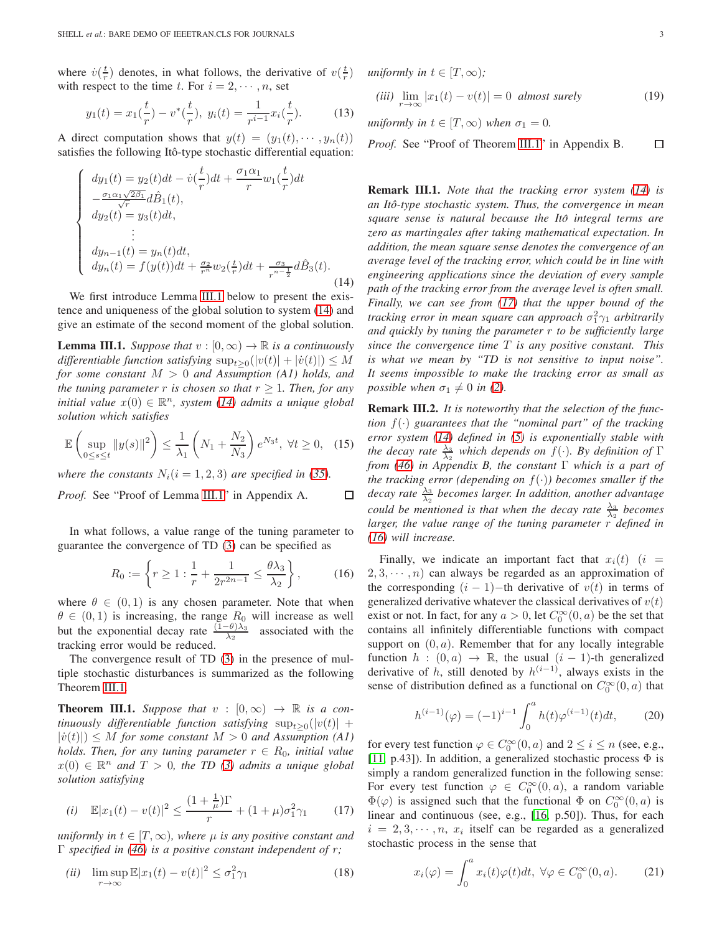where  $\dot{v}(\frac{t}{r})$  denotes, in what follows, the derivative of  $v(\frac{t}{r})$ with respect to the time t. For  $i = 2, \dots, n$ , set

$$
y_1(t) = x_1(\frac{t}{r}) - v^*(\frac{t}{r}), \ y_i(t) = \frac{1}{r^{i-1}} x_i(\frac{t}{r}). \tag{13}
$$

A direct computation shows that  $y(t) = (y_1(t), \dots, y_n(t))$ satisfies the following Itô-type stochastic differential equation:

<span id="page-2-1"></span>
$$
\begin{cases}\ndy_1(t) = y_2(t)dt - \dot{v}(\frac{t}{r})dt + \frac{\sigma_1 \alpha_1}{r}w_1(\frac{t}{r})dt \\
-\frac{\sigma_1 \alpha_1 \sqrt{2\beta_1}}{\sqrt{r}}d\hat{B}_1(t), \\
dy_2(t) = y_3(t)dt, \\
\vdots \\
dy_{n-1}(t) = y_n(t)dt, \\
dy_n(t) = f(y(t))dt + \frac{\sigma_2}{r^n}w_2(\frac{t}{r})dt + \frac{\sigma_3}{r^{n-\frac{1}{2}}}d\hat{B}_3(t).\n\end{cases} (14)
$$

We first introduce Lemma [III.1](#page-2-0) below to present the existence and uniqueness of the global solution to system [\(14\)](#page-2-1) and give an estimate of the second moment of the global solution.

<span id="page-2-0"></span>**Lemma III.1.** Suppose that  $v : [0, \infty) \to \mathbb{R}$  is a continuously  $differential$  function satisfying  $\sup_{t\geq 0}(|v(t)| + |v(t)|) \leq M$ *for some constant* M > 0 *and Assumption (A1) holds, and the tuning parameter* r *is chosen so that*  $r \geq 1$ *. Then, for any initial value*  $x(0) \in \mathbb{R}^n$ , system [\(14\)](#page-2-1) *admits a unique global solution which satisfies*

<span id="page-2-5"></span>
$$
\mathbb{E}\left(\sup_{0\leq s\leq t}||y(s)||^2\right)\leq \frac{1}{\lambda_1}\left(N_1+\frac{N_2}{N_3}\right)e^{N_3t}, \ \forall t\geq 0,\tag{15}
$$

*where the constants*  $N_i$  ( $i = 1, 2, 3$ ) *are specified in [\(35\)](#page-5-0).* 

*Proof.* See "Proof of Lemma [III.1"](#page-2-0) in Appendix A. □

In what follows, a value range of the tuning parameter to guarantee the convergence of TD [\(3\)](#page-1-1) can be specified as

<span id="page-2-4"></span>
$$
R_0 := \left\{ r \ge 1 : \frac{1}{r} + \frac{1}{2r^{2n-1}} \le \frac{\theta \lambda_3}{\lambda_2} \right\},\qquad(16)
$$

where  $\theta \in (0, 1)$  is any chosen parameter. Note that when  $\theta \in (0, 1)$  is increasing, the range  $R_0$  will increase as well but the exponential decay rate  $\frac{(1-\theta)\lambda_3}{\lambda_2}$  associated with the tracking error would be reduced.

The convergence result of TD [\(3\)](#page-1-1) in the presence of multiple stochastic disturbances is summarized as the following Theorem [III.1.](#page-2-2)

<span id="page-2-2"></span>**Theorem III.1.** Suppose that  $v : [0, \infty) \rightarrow \mathbb{R}$  is a con $t$ *inuously differentiable function satisfying*  $\sup_{t\geq 0}(|v(t)| +$  $|\dot{v}(t)| \leq M$  *for some constant*  $M > 0$  *and Assumption* (A1) *holds. Then, for any tuning parameter*  $r \in R_0$ *, initial value*  $x(0) \in \mathbb{R}^n$  and  $T > 0$ , the TD [\(3\)](#page-1-1) admits a unique global *solution satisfying*

<span id="page-2-3"></span>(i) 
$$
\mathbb{E}|x_1(t) - v(t)|^2 \le \frac{(1 + \frac{1}{\mu})\Gamma}{r} + (1 + \mu)\sigma_1^2 \gamma_1
$$
 (17)

*uniformly in*  $t \in [T, \infty)$ *, where*  $\mu$  *is any positive constant and* Γ *specified in [\(46\)](#page-6-0) is a positive constant independent of* r*;*

(*ii*) 
$$
\limsup_{r \to \infty} \mathbb{E}|x_1(t) - v(t)|^2 \le \sigma_1^2 \gamma_1
$$
 (18)

*uniformly in*  $t \in [T, \infty)$ ;

$$
(iii) \lim_{r \to \infty} |x_1(t) - v(t)| = 0 \text{ almost surely } (19)
$$

*uniformly in*  $t \in [T, \infty)$  *when*  $\sigma_1 = 0$ *.* 

 $\Box$ *Proof.* See "Proof of Theorem [III.1"](#page-2-2) in Appendix B.

Remark III.1. *Note that the tracking error system [\(14\)](#page-2-1) is an Ito-type stochastic system. Thus, the convergence in mean ˆ square sense is natural because the Itô integral terms are zero as martingales after taking mathematical expectation. In addition, the mean square sense denotes the convergence of an average level of the tracking error, which could be in line with engineering applications since the deviation of every sample path of the tracking error from the average level is often small. Finally, we can see from [\(17\)](#page-2-3) that the upper bound of the* tracking error in mean square can approach  $\sigma_1^2\gamma_1$  arbitrarily *and quickly by tuning the parameter* r *to be sufficiently large since the convergence time* T *is any positive constant. This is what we mean by "TD is not sensitive to input noise". It seems impossible to make the tracking error as small as possible when*  $\sigma_1 \neq 0$  *in* [\(2\)](#page-1-4)*.* 

Remark III.2. *It is noteworthy that the selection of the function*  $f(\cdot)$  *guarantees that the "nominal part" of the tracking error system [\(14\)](#page-2-1) defined in [\(5\)](#page-1-5) is exponentially stable with the decay rate*  $\frac{\lambda_3}{\lambda_2}$  *which depends on*  $f(\cdot)$ *. By definition of* Γ *from [\(46\)](#page-6-0) in Appendix B, the constant* Γ *which is a part of the tracking error (depending on*  $f(\cdot)$ ) *becomes smaller if the decay rate*  $\frac{\lambda_3}{\lambda_2}$  *becomes larger. In addition, another advantage could be mentioned is that when the decay rate*  $\frac{\lambda_3}{\lambda_2}$  *becomes larger, the value range of the tuning parameter* r *defined in [\(16\)](#page-2-4) will increase.*

Finally, we indicate an important fact that  $x_i(t)$  (i =  $2, 3, \dots, n$  can always be regarded as an approximation of the corresponding  $(i - 1)$ −th derivative of  $v(t)$  in terms of generalized derivative whatever the classical derivatives of  $v(t)$ exist or not. In fact, for any  $a > 0$ , let  $C_0^{\infty}(0, a)$  be the set that contains all infinitely differentiable functions with compact support on  $(0, a)$ . Remember that for any locally integrable function  $h : (0, a) \rightarrow \mathbb{R}$ , the usual  $(i - 1)$ -th generalized derivative of h, still denoted by  $h^{(i-1)}$ , always exists in the sense of distribution defined as a functional on  $C_0^{\infty}(0, a)$  that

<span id="page-2-7"></span>
$$
h^{(i-1)}(\varphi) = (-1)^{i-1} \int_0^a h(t)\varphi^{(i-1)}(t)dt,
$$
 (20)

for every test function  $\varphi \in C_0^{\infty}(0, a)$  and  $2 \le i \le n$  (see, e.g., [\[11,](#page-7-10) p.43]). In addition, a generalized stochastic process  $\Phi$  is simply a random generalized function in the following sense: For every test function  $\varphi \in C_0^{\infty}(0, a)$ , a random variable  $\Phi(\varphi)$  is assigned such that the functional  $\Phi$  on  $C_0^{\infty}(0, a)$  is linear and continuous (see, e.g., [\[16,](#page-7-15) p.50]). Thus, for each  $i = 2, 3, \dots, n$ ,  $x_i$  itself can be regarded as a generalized stochastic process in the sense that

<span id="page-2-6"></span>
$$
x_i(\varphi) = \int_0^a x_i(t)\varphi(t)dt, \ \forall \varphi \in C_0^{\infty}(0, a). \tag{21}
$$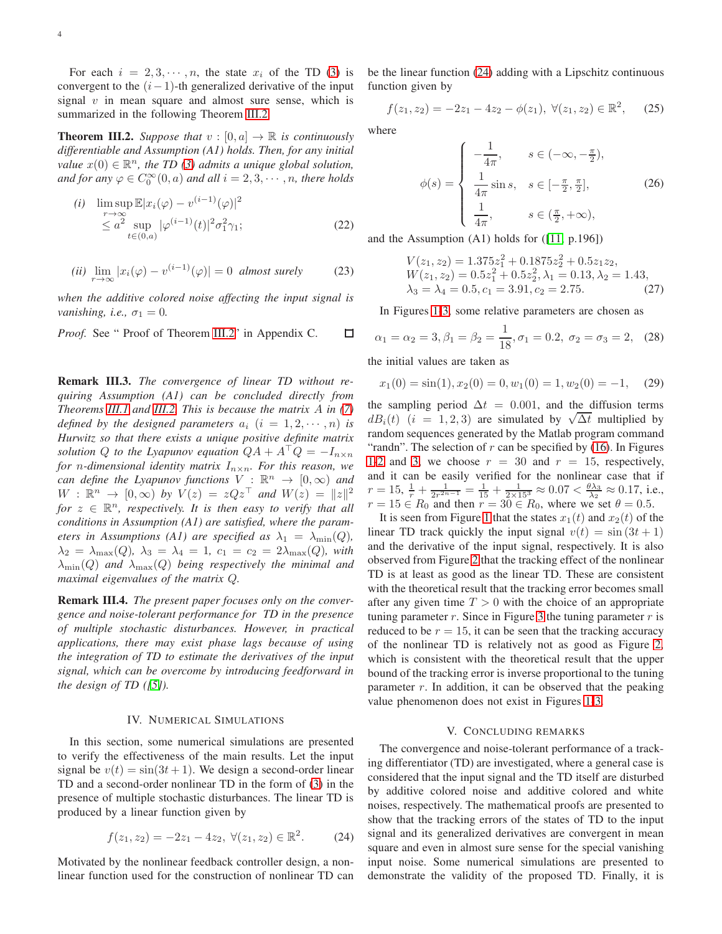For each  $i = 2, 3, \dots, n$ , the state  $x_i$  of the TD [\(3\)](#page-1-1) is convergent to the  $(i-1)$ -th generalized derivative of the input signal  $v$  in mean square and almost sure sense, which is summarized in the following Theorem [III.2.](#page-3-2)

<span id="page-3-2"></span>**Theorem III.2.** Suppose that  $v : [0, a] \rightarrow \mathbb{R}$  is continuously *differentiable and Assumption (A1) holds. Then, for any initial value*  $x(0) \in \mathbb{R}^n$ , the TD [\(3\)](#page-1-1) admits a unique global solution, and for any  $\varphi \in C_0^{\infty}(0,a)$  and all  $i = 2, 3, \cdots, n$ , there holds

$$
(i) \quad \limsup_{r \to \infty} \mathbb{E}|x_i(\varphi) - v^{(i-1)}(\varphi)|^2
$$
  
\n
$$
\leq a^2 \sup_{t \in (0,a)} |\varphi^{(i-1)}(t)|^2 \sigma_1^2 \gamma_1;
$$
\n(22)

(*ii*) 
$$
\lim_{r \to \infty} |x_i(\varphi) - v^{(i-1)}(\varphi)| = 0
$$
 almost surely (23)

*when the additive colored noise affecting the input signal is vanishing, i.e.,*  $\sigma_1 = 0$ .

*Proof.* See " Proof of Theorem [III.2"](#page-3-2) in Appendix C. □

Remark III.3. *The convergence of linear TD without requiring Assumption (A1) can be concluded directly from Theorems [III.1](#page-2-2) and [III.2.](#page-3-2) This is because the matrix* A *in [\(7\)](#page-1-6) defined by the designed parameters*  $a_i$   $(i = 1, 2, \dots, n)$  *is Hurwitz so that there exists a unique positive definite matrix solution* Q *to the Lyapunov equation*  $QA + A^TQ = -I_{n \times n}$ *for n*-dimensional identity matrix  $I_{n \times n}$ . For this reason, we *can define the Lyapunov functions*  $V : \mathbb{R}^n \to [0, \infty)$  *and*  $W: \mathbb{R}^n \to [0, \infty)$  by  $V(z) = zQz^{\top}$  and  $W(z) = ||z||^2$ *for*  $z \in \mathbb{R}^n$ , *respectively. It is then easy to verify that all conditions in Assumption (A1) are satisfied, where the parameters in Assumptions (A1) are specified as*  $\lambda_1 = \lambda_{\min}(Q)$ ,  $\lambda_2 = \lambda_{\max}(Q)$ ,  $\lambda_3 = \lambda_4 = 1$ ,  $c_1 = c_2 = 2\lambda_{\max}(Q)$ , with  $\lambda_{\min}(Q)$  *and*  $\lambda_{\max}(Q)$  *being respectively the minimal and maximal eigenvalues of the matrix* Q*.*

Remark III.4. *The present paper focuses only on the convergence and noise-tolerant performance for TD in the presence of multiple stochastic disturbances. However, in practical applications, there may exist phase lags because of using the integration of TD to estimate the derivatives of the input signal, which can be overcome by introducing feedforward in the design of TD ([\[5\]](#page-7-4)).*

#### IV. NUMERICAL SIMULATIONS

<span id="page-3-0"></span>In this section, some numerical simulations are presented to verify the effectiveness of the main results. Let the input signal be  $v(t) = \sin(3t + 1)$ . We design a second-order linear TD and a second-order nonlinear TD in the form of [\(3\)](#page-1-1) in the presence of multiple stochastic disturbances. The linear TD is produced by a linear function given by

<span id="page-3-3"></span>
$$
f(z_1, z_2) = -2z_1 - 4z_2, \ \forall (z_1, z_2) \in \mathbb{R}^2.
$$
 (24)

Motivated by the nonlinear feedback controller design, a nonlinear function used for the construction of nonlinear TD can be the linear function [\(24\)](#page-3-3) adding with a Lipschitz continuous function given by

$$
f(z_1, z_2) = -2z_1 - 4z_2 - \phi(z_1), \ \forall (z_1, z_2) \in \mathbb{R}^2, \tag{25}
$$

where

$$
\phi(s) = \begin{cases}\n-\frac{1}{4\pi}, & s \in (-\infty, -\frac{\pi}{2}), \\
\frac{1}{4\pi}\sin s, & s \in [-\frac{\pi}{2}, \frac{\pi}{2}], \\
\frac{1}{4\pi}, & s \in (\frac{\pi}{2}, +\infty),\n\end{cases}
$$
\n(26)

and the Assumption (A1) holds for ([\[11,](#page-7-10) p.196])

$$
V(z_1, z_2) = 1.375z_1^2 + 0.1875z_2^2 + 0.5z_1z_2,
$$
  
\n
$$
W(z_1, z_2) = 0.5z_1^2 + 0.5z_2^2, \lambda_1 = 0.13, \lambda_2 = 1.43,
$$
  
\n
$$
\lambda_3 = \lambda_4 = 0.5, c_1 = 3.91, c_2 = 2.75.
$$
 (27)

In Figures [1](#page-4-0)[-3,](#page-5-1) some relative parameters are chosen as

$$
\alpha_1 = \alpha_2 = 3, \beta_1 = \beta_2 = \frac{1}{18}, \sigma_1 = 0.2, \sigma_2 = \sigma_3 = 2, (28)
$$

the initial values are taken as

$$
x_1(0) = \sin(1), x_2(0) = 0, w_1(0) = 1, w_2(0) = -1,
$$
 (29)

the sampling period  $\Delta t = 0.001$ , and the diffusion terms dB<sub>i</sub>(t) (i = 1,2,3) are simulated by  $\sqrt{\Delta t}$  multiplied by random sequences generated by the Matlab program command "randn". The selection of  $r$  can be specified by [\(16\)](#page-2-4). In Figures [1](#page-4-0)[-2](#page-4-1) and [3,](#page-5-1) we choose  $r = 30$  and  $r = 15$ , respectively, and it can be easily verified for the nonlinear case that if  $r = 15, \frac{1}{r} + \frac{1}{2r^{2n-1}} = \frac{1}{15} + \frac{1}{2 \times 15^3} \approx 0.07 < \frac{\theta \lambda_3}{\lambda_2} \approx 0.17$ , i.e.,  $r = 15 \in R_0$  and then  $r = 30 \in R_0$ , where we set  $\theta = 0.5$ .

It is seen from Figure [1](#page-4-0) that the states  $x_1(t)$  and  $x_2(t)$  of the linear TD track quickly the input signal  $v(t) = \sin(3t + 1)$ and the derivative of the input signal, respectively. It is also observed from Figure [2](#page-4-1) that the tracking effect of the nonlinear TD is at least as good as the linear TD. These are consistent with the theoretical result that the tracking error becomes small after any given time  $T > 0$  with the choice of an appropriate tuning parameter  $r$ . Since in Figure [3](#page-5-1) the tuning parameter  $r$  is reduced to be  $r = 15$ , it can be seen that the tracking accuracy of the nonlinear TD is relatively not as good as Figure [2,](#page-4-1) which is consistent with the theoretical result that the upper bound of the tracking error is inverse proportional to the tuning parameter  $r$ . In addition, it can be observed that the peaking value phenomenon does not exist in Figures [1](#page-4-0)[-3.](#page-5-1)

#### V. CONCLUDING REMARKS

<span id="page-3-1"></span>The convergence and noise-tolerant performance of a tracking differentiator (TD) are investigated, where a general case is considered that the input signal and the TD itself are disturbed by additive colored noise and additive colored and white noises, respectively. The mathematical proofs are presented to show that the tracking errors of the states of TD to the input signal and its generalized derivatives are convergent in mean square and even in almost sure sense for the special vanishing input noise. Some numerical simulations are presented to demonstrate the validity of the proposed TD. Finally, it is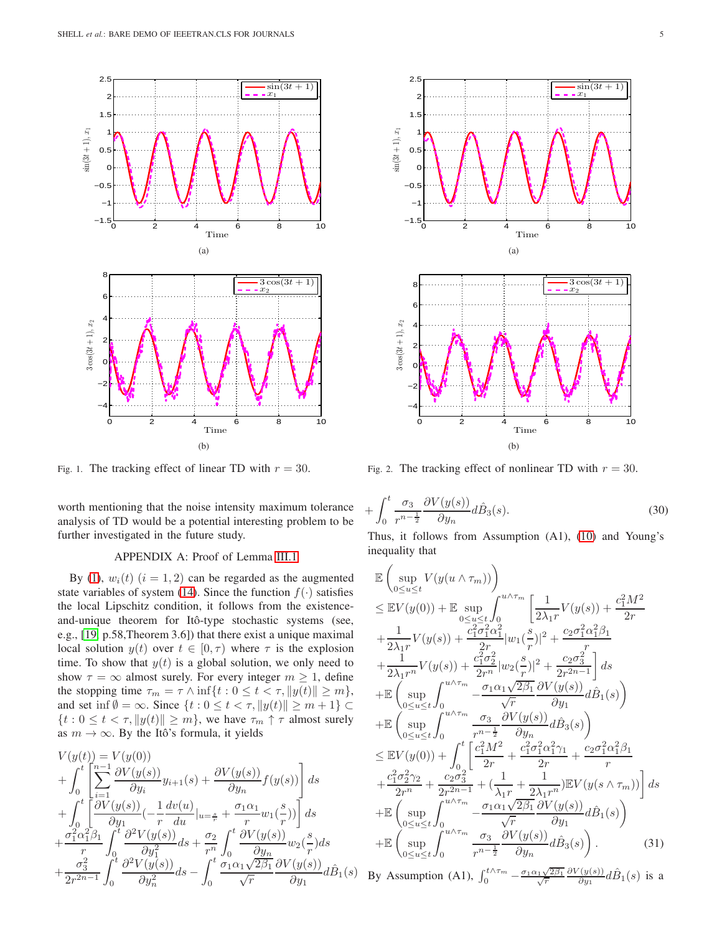

<span id="page-4-0"></span>Fig. 1. The tracking effect of linear TD with  $r = 30$ .

worth mentioning that the noise intensity maximum tolerance analysis of TD would be a potential interesting problem to be further investigated in the future study.

## APPENDIX A: Proof of Lemma [III.1](#page-2-0)

By [\(1\)](#page-1-3),  $w_i(t)$   $(i = 1, 2)$  can be regarded as the augmented state variables of system [\(14\)](#page-2-1). Since the function  $f(\cdot)$  satisfies the local Lipschitz condition, it follows from the existenceand-unique theorem for Itô-type stochastic systems (see, e.g., [\[19,](#page-7-18) p.58,Theorem 3.6]) that there exist a unique maximal local solution  $y(t)$  over  $t \in [0, \tau)$  where  $\tau$  is the explosion time. To show that  $y(t)$  is a global solution, we only need to show  $\tau = \infty$  almost surely. For every integer  $m \geq 1$ , define the stopping time  $\tau_m = \tau \wedge \inf\{t : 0 \le t < \tau, ||y(t)|| \ge m\},\$ and set inf  $\emptyset = \infty$ . Since  $\{t : 0 \le t < \tau, ||y(t)|| \ge m + 1\} \subset$  $\{t : 0 \le t < \tau, ||y(t)|| \ge m\}$ , we have  $\tau_m \uparrow \tau$  almost surely as  $m \to \infty$ . By the Itô's formula, it yields

<span id="page-4-3"></span>
$$
V(y(t)) = V(y(0))
$$
  
+ 
$$
\int_0^t \left[ \sum_{i=1}^{n-1} \frac{\partial V(y(s))}{\partial y_i} y_{i+1}(s) + \frac{\partial V(y(s))}{\partial y_n} f(y(s)) \right] ds
$$
  
+ 
$$
\int_0^t \left[ \frac{\partial V(y(s))}{\partial y_1} \left( -\frac{1}{r} \frac{dv(u)}{du} \Big|_{u=\frac{s}{r}} + \frac{\sigma_1 \alpha_1}{r} w_1 \left( \frac{s}{r} \right) \right) \right] ds
$$
  
+ 
$$
\frac{\sigma_1^2 \alpha_1^2 \beta_1}{r} \int_0^t \frac{\partial^2 V(y(s))}{\partial y_1^2} ds + \frac{\sigma_2}{r^n} \int_0^t \frac{\partial V(y(s))}{\partial y_n} w_2 \left( \frac{s}{r} \right) ds
$$
  
+ 
$$
\frac{\sigma_3^2}{2r^{2n-1}} \int_0^t \frac{\partial^2 V(y(s))}{\partial y_n^2} ds - \int_0^t \frac{\sigma_1 \alpha_1 \sqrt{2\beta_1}}{\sqrt{r}} \frac{\partial V(y(s))}{\partial y_1} d\hat{B}_1(s)
$$



<span id="page-4-1"></span>Fig. 2. The tracking effect of nonlinear TD with  $r = 30$ .

$$
+\int_0^t \frac{\sigma_3}{r^{n-\frac{1}{2}}} \frac{\partial V(y(s))}{\partial y_n} d\hat{B}_3(s).
$$
\n(30)

Thus, it follows from Assumption (A1), [\(10\)](#page-1-7) and Young's inequality that

<span id="page-4-2"></span>
$$
\mathbb{E}\left(\sup_{0\leq u\leq t}V(y(u\wedge\tau_{m}))\right) \n\leq \mathbb{E}V(y(0)) + \mathbb{E}\sup_{0\leq u\leq t}\int_{0}^{u\wedge\tau_{m}}\left[\frac{1}{2\lambda_{1}r}V(y(s)) + \frac{c_{1}^{2}M^{2}}{2r} + \frac{1}{2\lambda_{1}r}V(y(s)) + \frac{c_{1}^{2}\sigma_{1}^{2}\alpha_{1}^{2}}{2r} |w_{1}(\frac{s}{r})|^{2} + \frac{c_{2}\sigma_{1}^{2}\alpha_{1}^{2}\beta_{1}}{r} + \frac{1}{2\lambda_{1}r^{n}}V(y(s)) + \frac{c_{1}^{2}\sigma_{2}^{2}}{2r^{n}} |w_{2}(\frac{s}{r})|^{2} + \frac{c_{2}\sigma_{3}^{2}}{2r^{2n-1}}\right]ds \n+ \mathbb{E}\left(\sup_{0\leq u\leq t}\int_{0}^{u\wedge\tau_{m}} -\frac{\sigma_{1}\alpha_{1}\sqrt{2\beta_{1}}}{\sqrt{r}}\frac{\partial V(y(s))}{\partial y_{1}}d\hat{B}_{1}(s)\right) \n+ \mathbb{E}\left(\sup_{0\leq u\leq t}\int_{0}^{u\wedge\tau_{m}} \frac{\sigma_{3}}{r^{n-\frac{1}{2}}}\frac{\partial V(y(s))}{\partial y_{n}}d\hat{B}_{3}(s)\right) \n\leq \mathbb{E}V(y(0)) + \int_{0}^{t}\left[\frac{c_{1}^{2}M^{2}}{2r} + \frac{c_{1}^{2}\sigma_{1}^{2}\alpha_{1}^{2}\gamma_{1}}{2r} + \frac{c_{2}\sigma_{1}^{2}\alpha_{1}^{2}\beta_{1}}{r} + \frac{c_{1}^{2}\sigma_{2}^{2}\gamma_{2}}{2r^{2n}} + \frac{c_{2}\sigma_{3}^{2}}{2r^{2n-1}} + \left(\frac{1}{\lambda_{1}r} + \frac{1}{2\lambda_{1}r^{n}}\right)\mathbb{E}V(y(s\wedge\tau_{m}))\right]ds \n+ \mathbb{E}\left(\sup_{0\leq u\leq t}\int_{0}^{u\wedge\tau_{m}} -\frac{\sigma_{1}\alpha_{1}\sqrt{2\beta_{1}}}{\sqrt{r}}\frac{\
$$

By Assumption (A1),  $\int_0^{t \wedge \tau_m} -\frac{\sigma_1 \alpha_1 \sqrt{\tau}}{\sqrt{\tau}}$  $\frac{\sqrt{1+\sqrt{2\beta_1}}}{\sqrt{r}}$  $\partial V(y(s))$  $\frac{\hat{G}(y(s))}{\partial y_1} d\hat{B}_1(s)$  is a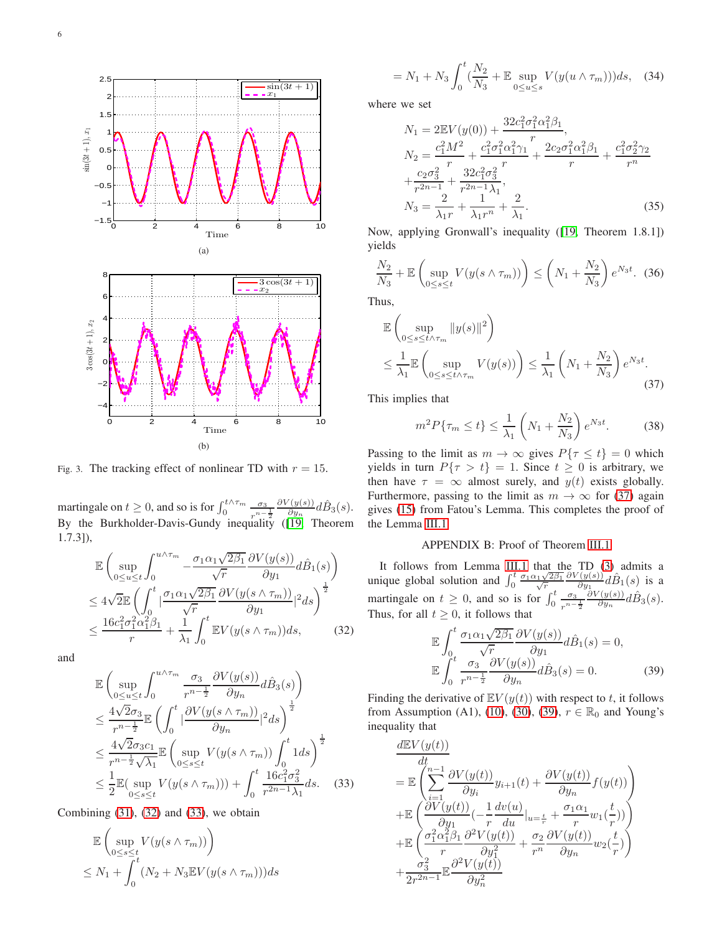

<span id="page-5-1"></span>Fig. 3. The tracking effect of nonlinear TD with  $r = 15$ .

martingale on  $t \ge 0$ , and so is for  $\int_0^{t \wedge \tau_m} \frac{\sigma_3}{r^{n-1}}$  $r^{n-\frac{1}{2}}$  $\partial V(y(s))$  $\frac{\hat{C}(y(s))}{\partial y_n}d\hat{B}_3(s).$ By the Burkholder-Davis-Gundy inequality ([\[19,](#page-7-18) Theorem 1.7.3]),

<span id="page-5-2"></span>
$$
\mathbb{E}\left(\sup_{0\leq u\leq t}\int_{0}^{u\wedge\tau_{m}}-\frac{\sigma_{1}\alpha_{1}\sqrt{2\beta_{1}}}{\sqrt{r}}\frac{\partial V(y(s))}{\partial y_{1}}d\hat{B}_{1}(s)\right) \n\leq 4\sqrt{2}\mathbb{E}\left(\int_{0}^{t}|\frac{\sigma_{1}\alpha_{1}\sqrt{2\beta_{1}}}{\sqrt{r}}\frac{\partial V(y(s\wedge\tau_{m}))}{\partial y_{1}}|^{2}ds\right)^{\frac{1}{2}} \n\leq \frac{16c_{1}^{2}\sigma_{1}^{2}\alpha_{1}^{2}\beta_{1}}{r}+\frac{1}{\lambda_{1}}\int_{0}^{t}\mathbb{E}V(y(s\wedge\tau_{m}))ds,
$$
\n(32)

and

<span id="page-5-3"></span>
$$
\mathbb{E}\left(\sup_{0\leq u\leq t}\int_{0}^{u\wedge\tau_{m}}\frac{\sigma_{3}}{r^{n-\frac{1}{2}}}\frac{\partial V(y(s))}{\partial y_{n}}d\hat{B}_{3}(s)\right)
$$
\n
$$
\leq \frac{4\sqrt{2}\sigma_{3}}{r^{n-\frac{1}{2}}}\mathbb{E}\left(\int_{0}^{t}\left|\frac{\partial V(y(s\wedge\tau_{m}))}{\partial y_{n}}\right|^{2}ds\right)^{\frac{1}{2}}
$$
\n
$$
\leq \frac{4\sqrt{2}\sigma_{3}c_{1}}{r^{n-\frac{1}{2}}\sqrt{\lambda_{1}}}\mathbb{E}\left(\sup_{0\leq s\leq t}V(y(s\wedge\tau_{m}))\int_{0}^{t}1ds\right)^{\frac{1}{2}}
$$
\n
$$
\leq \frac{1}{2}\mathbb{E}(\sup_{0\leq s\leq t}V(y(s\wedge\tau_{m}))) + \int_{0}^{t}\frac{16c_{1}^{2}\sigma_{3}^{2}}{r^{2n-1}\lambda_{1}}ds. \quad (33)
$$

Combining  $(31)$ ,  $(32)$  and  $(33)$ , we obtain

$$
\mathbb{E}\left(\sup_{0\leq s\leq t} V(y(s\wedge \tau_m))\right)
$$
  

$$
\leq N_1 + \int_0^t (N_2 + N_3 \mathbb{E}V(y(s\wedge \tau_m)))ds
$$

$$
= N_1 + N_3 \int_0^t \left(\frac{N_2}{N_3} + \mathbb{E} \sup_{0 \le u \le s} V(y(u \wedge \tau_m))\right) ds, \quad (34)
$$

where we set

<span id="page-5-0"></span>
$$
N_1 = 2\mathbb{E}V(y(0)) + \frac{32c_1^2\sigma_1^2\alpha_1^2\beta_1}{r},
$$
  
\n
$$
N_2 = \frac{c_1^2M^2}{r} + \frac{c_1^2\sigma_1^2\alpha_1^2\gamma_1}{r} + \frac{2c_2\sigma_1^2\alpha_1^2\beta_1}{r} + \frac{c_1^2\sigma_2^2\gamma_2}{r^n} + \frac{c_2\sigma_3^2}{r^{2n-1}} + \frac{32c_1^2\sigma_3^2}{r^{2n-1}\lambda_1},
$$
  
\n
$$
N_3 = \frac{2}{\lambda_1r} + \frac{1}{\lambda_1r^n} + \frac{2}{\lambda_1}.
$$
\n(35)

Now, applying Gronwall's inequality ([\[19,](#page-7-18) Theorem 1.8.1]) yields

$$
\frac{N_2}{N_3} + \mathbb{E}\left(\sup_{0\leq s\leq t} V(y(s\wedge \tau_m))\right) \leq \left(N_1 + \frac{N_2}{N_3}\right) e^{N_3 t}.\tag{36}
$$

Thus,

<span id="page-5-4"></span>
$$
\mathbb{E}\left(\sup_{0\leq s\leq t\wedge\tau_m} \|y(s)\|^2\right)
$$
\n
$$
\leq \frac{1}{\lambda_1} \mathbb{E}\left(\sup_{0\leq s\leq t\wedge\tau_m} V(y(s))\right) \leq \frac{1}{\lambda_1} \left(N_1 + \frac{N_2}{N_3}\right) e^{N_3 t}.\tag{37}
$$

This implies that

$$
m^2 P\{\tau_m \le t\} \le \frac{1}{\lambda_1} \left(N_1 + \frac{N_2}{N_3}\right) e^{N_3 t}.
$$
 (38)

Passing to the limit as  $m \to \infty$  gives  $P\{\tau \leq t\} = 0$  which yields in turn  $P\{\tau > t\} = 1$ . Since  $t \ge 0$  is arbitrary, we then have  $\tau = \infty$  almost surely, and  $y(t)$  exists globally. Furthermore, passing to the limit as  $m \to \infty$  for [\(37\)](#page-5-4) again gives [\(15\)](#page-2-5) from Fatou's Lemma. This completes the proof of the Lemma [III.1.](#page-2-0)

# APPENDIX B: Proof of Theorem [III.1](#page-2-2)

It follows from Lemma [III.1](#page-2-0) that the TD [\(3\)](#page-1-1) admits a unique global solution and  $\int_0^t \frac{\sigma_1 \alpha_1 \sqrt{r}}{\sqrt{r}}$  $\frac{1\sqrt{2\beta_1}}{\sqrt{r}}$  $\partial V(y(s))$  $\frac{\hat{C}(y(s))}{\partial y_1} d\hat{B}_1(s)$  is a martingale on  $t \geq 0$ , and so is for  $\int_0^t \frac{\sigma_3}{r^{n-1}}$  $r^{n-\frac{1}{2}}$  $\partial V(y(s))$  $\frac{\hat{d}(y(s))}{\partial y_n}d\hat{B}_3(s).$ Thus, for all  $t \geq 0$ , it follows that

<span id="page-5-5"></span>
$$
\mathbb{E} \int_0^t \frac{\sigma_1 \alpha_1 \sqrt{2\beta_1}}{\sqrt{r}} \frac{\partial V(y(s))}{\partial y_1} d\hat{B}_1(s) = 0,
$$
  

$$
\mathbb{E} \int_0^t \frac{\sigma_3}{r^{n-\frac{1}{2}}} \frac{\partial V(y(s))}{\partial y_n} d\hat{B}_3(s) = 0.
$$
 (39)

Finding the derivative of  $\mathbb{E}V(y(t))$  with respect to t, it follows from Assumption (A1), [\(10\)](#page-1-7), [\(30\)](#page-4-3), [\(39\)](#page-5-5),  $r \in \mathbb{R}_0$  and Young's inequality that

$$
\frac{d\mathbb{E}V(y(t))}{dt}
$$
\n
$$
= \mathbb{E}\left(\sum_{i=1}^{n-1} \frac{\partial V(y(t))}{\partial y_i} y_{i+1}(t) + \frac{\partial V(y(t))}{\partial y_n} f(y(t))\right)
$$
\n
$$
+ \mathbb{E}\left(\frac{\partial V(y(t))}{\partial y_1} \left(-\frac{1}{r} \frac{dv(u)}{du}|_{u=\frac{t}{r}} + \frac{\sigma_1 \alpha_1}{r} w_1(\frac{t}{r})\right)\right)
$$
\n
$$
+ \mathbb{E}\left(\frac{\sigma_1^2 \alpha_1^2 \beta_1}{r} \frac{\partial^2 V(y(t))}{\partial y_1^2} + \frac{\sigma_2}{r^n} \frac{\partial V(y(t))}{\partial y_n} w_2(\frac{t}{r})\right)
$$
\n
$$
+ \frac{\sigma_3^2}{2r^{2n-1}} \mathbb{E}\frac{\partial^2 V(y(t))}{\partial y_n^2}
$$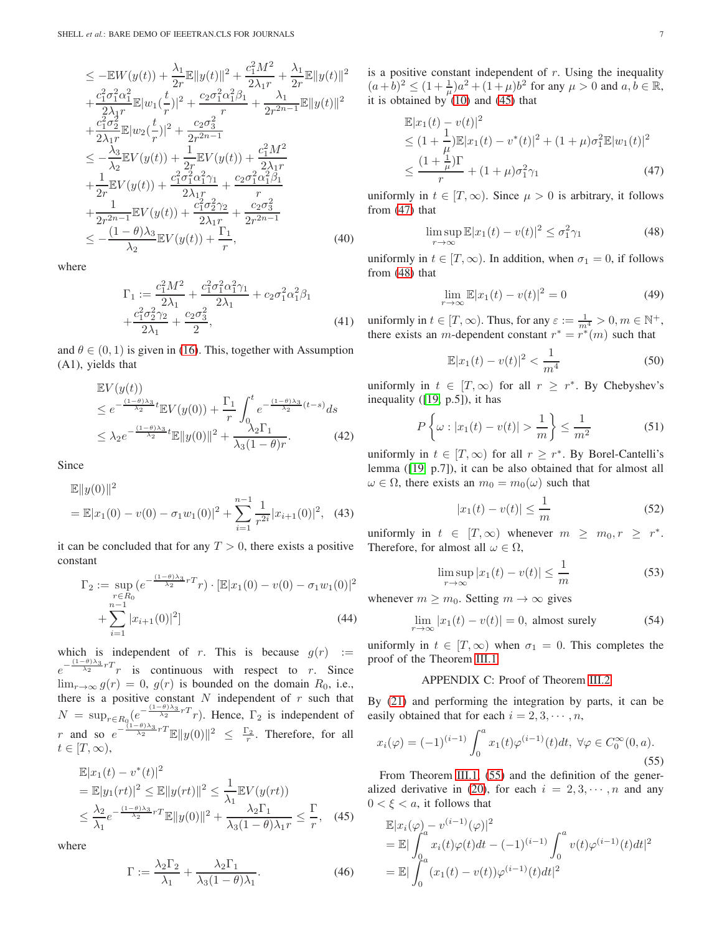$$
\leq -\mathbb{E}W(y(t)) + \frac{\lambda_1}{2r}\mathbb{E}\|y(t)\|^2 + \frac{c_1^2M^2}{2\lambda_1r} + \frac{\lambda_1}{2r}\mathbb{E}\|y(t)\|^2 \n+ \frac{c_1^2\sigma_1^2\alpha_1^2}{2\lambda_1r}\mathbb{E}\|w_1(\frac{t}{r})\|^2 + \frac{c_2\sigma_1^2\alpha_1^2\beta_1}{r} + \frac{\lambda_1}{2r^{2n-1}}\mathbb{E}\|y(t)\|^2 \n+ \frac{c_1^2\sigma_2^2}{2\lambda_1r}\mathbb{E}\|w_2(\frac{t}{r})\|^2 + \frac{c_2\sigma_3^2}{2r^{2n-1}} \n\leq -\frac{\lambda_3}{\lambda_2}\mathbb{E}V(y(t)) + \frac{1}{2r}\mathbb{E}V(y(t)) + \frac{c_1^2M^2}{2\lambda_1r} \n+ \frac{1}{2r}\mathbb{E}V(y(t)) + \frac{c_1^2\sigma_1^2\alpha_1^2\gamma_1}{2\lambda_1r} + \frac{c_2\sigma_1^2\alpha_1^2\beta_1}{r} \n+ \frac{1}{2r^{2n-1}}\mathbb{E}V(y(t)) + \frac{c_1^2\sigma_2^2\gamma_2}{2\lambda_1r} + \frac{c_2\sigma_3^2}{2r^{2n-1}} \n\leq -\frac{(1-\theta)\lambda_3}{\lambda_2}\mathbb{E}V(y(t)) + \frac{\Gamma_1}{r},
$$
\n(40)

where

$$
\Gamma_1 := \frac{c_1^2 M^2}{2\lambda_1} + \frac{c_1^2 \sigma_1^2 \alpha_1^2 \gamma_1}{2\lambda_1} + c_2 \sigma_1^2 \alpha_1^2 \beta_1 + \frac{c_1^2 \sigma_2^2 \gamma_2}{2\lambda_1} + \frac{c_2 \sigma_3^2}{2},
$$
\n(41)

and  $\theta \in (0, 1)$  is given in [\(16\)](#page-2-4). This, together with Assumption (A1), yields that

$$
\mathbb{E}V(y(t))\leq e^{-\frac{(1-\theta)\lambda_3}{\lambda_2}t}\mathbb{E}V(y(0))+\frac{\Gamma_1}{r}\int_0^t e^{-\frac{(1-\theta)\lambda_3}{\lambda_2}(t-s)}ds
$$
\n
$$
\leq \lambda_2 e^{-\frac{(1-\theta)\lambda_3}{\lambda_2}t}\mathbb{E}\|y(0)\|^2+\frac{\lambda_2\Gamma_1}{\lambda_3(1-\theta)r}.\tag{42}
$$

Since

$$
\mathbb{E}||y(0)||^2
$$
  
=  $\mathbb{E}|x_1(0) - v(0) - \sigma_1 w_1(0)|^2 + \sum_{i=1}^{n-1} \frac{1}{r^{2i}} |x_{i+1}(0)|^2$ , (43)

it can be concluded that for any  $T > 0$ , there exists a positive constant

$$
\Gamma_2 := \sup_{\substack{r \in R_0 \\ n-1}} \left( e^{-\frac{(1-\theta)\lambda_3}{\lambda_2} r} r \right) \cdot \left[ \mathbb{E} |x_1(0) - v(0) - \sigma_1 w_1(0) \right]^2
$$
  
 
$$
+ \sum_{i=1}^{n-1} |x_{i+1}(0)|^2 \tag{44}
$$

which is independent of r. This is because  $g(r) :=$  $e^{-\frac{(1-\theta)\lambda_3}{\lambda_2}rT}$  is continuous with respect to r. Since  $\lim_{r\to\infty} g(r) = 0$ ,  $g(r)$  is bounded on the domain  $R_0$ , i.e., there is a positive constant  $N$  independent of  $r$  such that  $N = \sup_{r \in R_0} \left(e^{-\frac{(1-\theta)\lambda_3}{\lambda_2}rT}r\right)$ . Hence,  $\Gamma_2$  is independent of r and so  $e^{-\frac{(1-\theta)\lambda_3}{\lambda_2}rT}\mathbb{E}||y(0)||^2 \leq \frac{\Gamma_2}{r}$ . Therefore, for all  $t\in[T,\infty),$ 

<span id="page-6-1"></span>
$$
\mathbb{E}|x_1(t) - v^*(t)|^2
$$
\n
$$
= \mathbb{E}|y_1(rt)|^2 \le \mathbb{E}||y(rt)||^2 \le \frac{1}{\lambda_1} \mathbb{E}V(y(rt))
$$
\n
$$
\le \frac{\lambda_2}{\lambda_1} e^{-\frac{(1-\theta)\lambda_3}{\lambda_2}rT} \mathbb{E}||y(0)||^2 + \frac{\lambda_2 \Gamma_1}{\lambda_3(1-\theta)\lambda_1 r} \le \frac{\Gamma}{r}, \quad (45)
$$

where

<span id="page-6-0"></span>
$$
\Gamma := \frac{\lambda_2 \Gamma_2}{\lambda_1} + \frac{\lambda_2 \Gamma_1}{\lambda_3 (1 - \theta) \lambda_1}.
$$
 (46)

is a positive constant independent of  $r$ . Using the inequality  $(a+b)^2 \le (1+\frac{1}{\mu})a^2 + (1+\mu)b^2$  for any  $\mu > 0$  and  $a, b \in \mathbb{R}$ , it is obtained by  $(10)$  and  $(45)$  that

<span id="page-6-2"></span>
$$
\mathbb{E}|x_1(t) - v(t)|^2
$$
  
\n
$$
\leq (1 + \frac{1}{\mu})\mathbb{E}|x_1(t) - v^*(t)|^2 + (1 + \mu)\sigma_1^2 \mathbb{E}|w_1(t)|^2
$$
  
\n
$$
\leq \frac{(1 + \frac{1}{\mu})\Gamma}{r} + (1 + \mu)\sigma_1^2 \gamma_1
$$
\n(47)

uniformly in  $t \in [T, \infty)$ . Since  $\mu > 0$  is arbitrary, it follows from [\(47\)](#page-6-2) that

<span id="page-6-3"></span>
$$
\limsup_{r \to \infty} \mathbb{E}|x_1(t) - v(t)|^2 \le \sigma_1^2 \gamma_1 \tag{48}
$$

uniformly in  $t \in [T, \infty)$ . In addition, when  $\sigma_1 = 0$ , if follows from [\(48\)](#page-6-3) that

$$
\lim_{r \to \infty} \mathbb{E}|x_1(t) - v(t)|^2 = 0 \tag{49}
$$

uniformly in  $t \in [T, \infty)$ . Thus, for any  $\varepsilon := \frac{1}{m^4} > 0, m \in \mathbb{N}^+,$ there exists an *m*-dependent constant  $r^* = r^*(m)$  such that

<span id="page-6-5"></span>
$$
\mathbb{E}|x_1(t) - v(t)|^2 < \frac{1}{m^4} \tag{50}
$$

uniformly in  $t \in [T, \infty)$  for all  $r \geq r^*$ . By Chebyshev's inequality ([\[19,](#page-7-18) p.5]), it has

$$
P\left\{\omega: |x_1(t) - v(t)| > \frac{1}{m}\right\} \le \frac{1}{m^2} \tag{51}
$$

uniformly in  $t \in [T, \infty)$  for all  $r \geq r^*$ . By Borel-Cantelli's lemma ([\[19,](#page-7-18) p.7]), it can be also obtained that for almost all  $\omega \in \Omega$ , there exists an  $m_0 = m_0(\omega)$  such that

$$
|x_1(t) - v(t)| \le \frac{1}{m}
$$
 (52)

uniformly in  $t \in [T, \infty)$  whenever  $m \geq m_0, r \geq r^*$ . Therefore, for almost all  $\omega \in \Omega$ ,

$$
\limsup_{r \to \infty} |x_1(t) - v(t)| \le \frac{1}{m} \tag{53}
$$

whenever  $m \geq m_0$ . Setting  $m \to \infty$  gives

<span id="page-6-6"></span>
$$
\lim_{r \to \infty} |x_1(t) - v(t)| = 0, \text{ almost surely } (54)
$$

uniformly in  $t \in [T, \infty)$  when  $\sigma_1 = 0$ . This completes the proof of the Theorem [III.1.](#page-2-2)

# APPENDIX C: Proof of Theorem [III.2](#page-3-2)

By [\(21\)](#page-2-6) and performing the integration by parts, it can be easily obtained that for each  $i = 2, 3, \cdots, n$ ,

<span id="page-6-4"></span>
$$
x_i(\varphi) = (-1)^{(i-1)} \int_0^a x_1(t) \varphi^{(i-1)}(t) dt, \ \forall \varphi \in C_0^{\infty}(0, a).
$$
\n(55)

From Theorem [III.1,](#page-2-2) [\(55\)](#page-6-4) and the definition of the gener-alized derivative in [\(20\)](#page-2-7), for each  $i = 2, 3, \dots, n$  and any  $0 < \xi < a$ , it follows that

$$
\mathbb{E}|x_i(\varphi) - v^{(i-1)}(\varphi)|^2
$$
  
=  $\mathbb{E}|\int_0^a x_i(t)\varphi(t)dt - (-1)^{(i-1)}\int_0^a v(t)\varphi^{(i-1)}(t)dt|^2$   
=  $\mathbb{E}|\int_0^a (x_1(t) - v(t))\varphi^{(i-1)}(t)dt|^2$